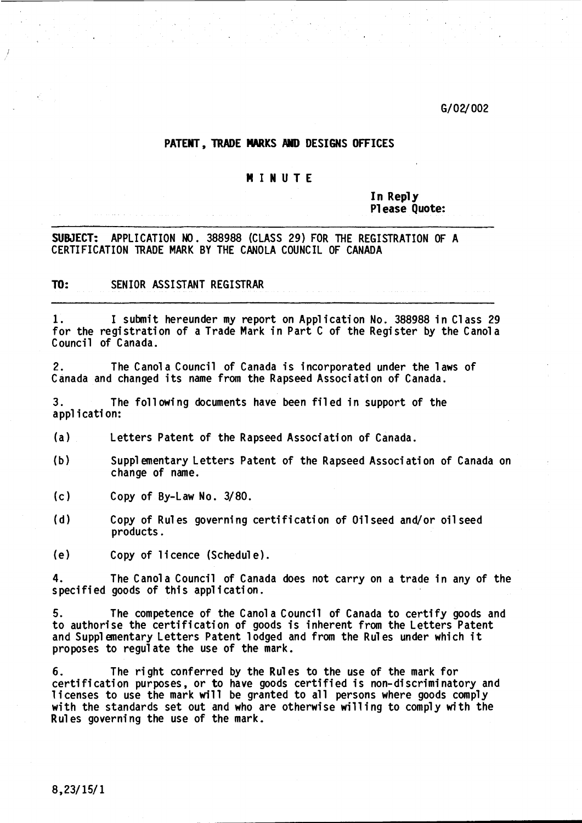G/02/002

# PATENT, TRADE MARKS AND DESIGNS OFFICES

#### MI NU T E

In Reply Pl ease Quote:

SUBJECT: APPLICATION NO. 388988 (CLASS 29) FOR THE REGISTRATION OF A CERTIFICATION TRADE MARK BY THE CANOLA COUNCIL OF CANADA

TO: SENIOR ASSISTANT REGISTRAR

1. I submit hereunder my report on Application No. 388988 in Class 29 for the registration of a Trade Mark in Part C of the Register by the Canola Council of Canada.

2. The Canol a Council of Canada is incorporated under the laws of Canada and changed its name from the Rapseed Association of Canada.

3. The fo11 owi ng documents have been fi1 ed in support of the app1 i cati on:

(a) Letters Patent of the Rapseed Association of Canada.

- (b) Supplementary Letters Patent of the Rapseed Association of Canada on change of name.
- (c) Copy of By-Law No. 3/80.
- (d) Copy of Rules governing certification of Oilseed and/or oilseed products.

(e) Copy of 1i cence (Schedu1 e) .

4. The Canol a Council of Canada does not carryon a trade in any of the specified goods of this application.

5. The competence of the Canol a Council of Canada to certify goods and to authorise the certification of goods is inherent from the Letters Patent and Supplementary Letters Patent lodged and from the Rules under which it proposes to regulate the use of the mark.

6. The right conferred by the Rules to the use of the mark for certification purposes, or to have goods certified is non-discriminatory and licenses to use the mark will be granted to all persons where goods comply with the standards set out and who are otherwise willing to comply with the Rules governing the use of the mark.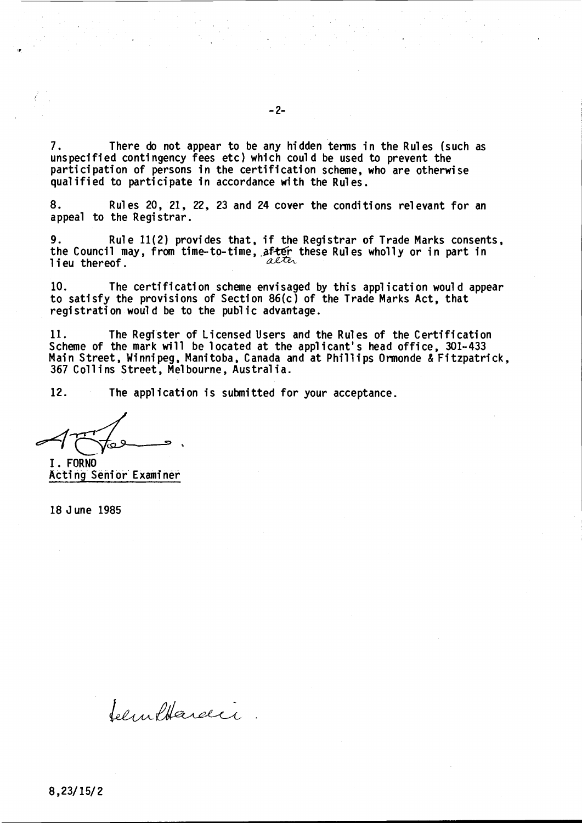7. There do not appear to be any hidden terms in the Rules (such as unspecified contingency fees etc) which could be used to prevent the participation of persons in the certification scheme, who are otherwise qualified to participate in accordance with the Rules.

8. Rules 20, 21, 22, 23 and 24 cover the conditions relevant for an appeal to the Registrar.

9. Rule 11(2) provides that, if the Registrar of Trade Marks consents, the Council may, from time-to-time, after these Rules wholly or in part in<br>lieu thereof lieu thereof.

10. The certification scheme envisaged by this application would appear to satisfy the provisions of Section 86(c) of the Trade Marks Act, that registration would be to the public advantage.

11. The Register of Licensed Users and the Rules of the Certification Scheme of the mark will be located at the applicant's head office, 301-433 Main Street, Winnipeg, Manitoba, Canada and at Phillips Ormonde & Fitzpatrick, 367 Colli ns Street, Mel bourne, Austral i a.

12. The application is submitted for your acceptance.

 $4\pi\sqrt{2}$ 

I. FORNO Acting Senior Examiner

Selinflardi

18 June 1985

8,23/15/2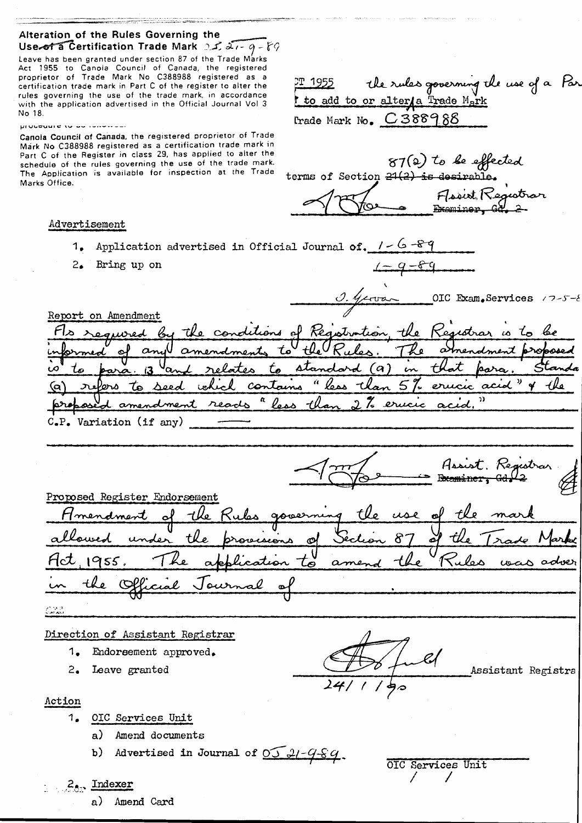# Alteration of the Rules Governing the Use of a Certification Trade Mark:  $2\sqrt{2}$ ,  $2\sqrt{2}$ ,  $q - \sqrt[3]{2}$

Leave has been granted under section 87 of the Trade Marks Act 1955 to Canola Council of Canada, the registered proprietor of Trade Mark No C3BB9BB registered as a certification trade marie: in Part C of the register to alter the rules governing the use of the trade mark, in accordance with the application advertised in the Official Journal Vol 3 No 18.

#### procedure to be construct

Canola Council at Canada, the registered proprietor of Trade Mark No C3BB9BB registered as a certification trade mark in Part C of the Register in class 29, has applied to alter the schedule of the rules governing the use of the trade mark. The Application is available for inspection at the Trade Marks Office.

#### Advertisement

 $\mathbb{CP}$  1955. the rules governing the use of a Par I to add to or alter/a Trade  $M_A$ rk l'rade Mark No.  $C$ 388988

87(2) to be effected terms of Section  $24(2)$  is desirable. Florist Registrar Examiner

- 1. Application advertised in Official Journal of.  $1 6 8 9$
- Bring up on  $\sqrt{-g-6g}$

OIC Exam.Services /7-5-8 Report on Amendment tion istrar w to τı -tko المتحف  $t_\bullet$ سەمىكى  $\alpha$ is to para. 13 and relates to standard (a) in that p<br>(a) refers to seed which contains "less than 5% erucic of<br>probased amendment reads "less than 2% erucic acid."  $C_{\bullet}P_{\bullet}$  Variation (if any)

Assist, Registra Thematica

Proposed Register Endorsement  $\mathbf{e}^{\rho}$ tle tle use +Ko حقمه tle 8 Ø 17 955 tö  $\alpha$ ىيە

 $\mathcal{L}_{\mathcal{M}\mathcal{M}\mathcal{M}}^{(n)}$ 

#### Direction of Assistant Registrar

- 1• Endorsement approved.
- 2. Leave granted

Action

- 1. orc Services Unit
	- a) Amend documents
	- b) Advertised in Journal of  $0.5$   $21 9.59$

OIC Services Unit / /

\_\_\_\_-2:==::-~-J~ ~Assistant Registra

a) Amend Card

. 2<sub>0</sub>, Indexer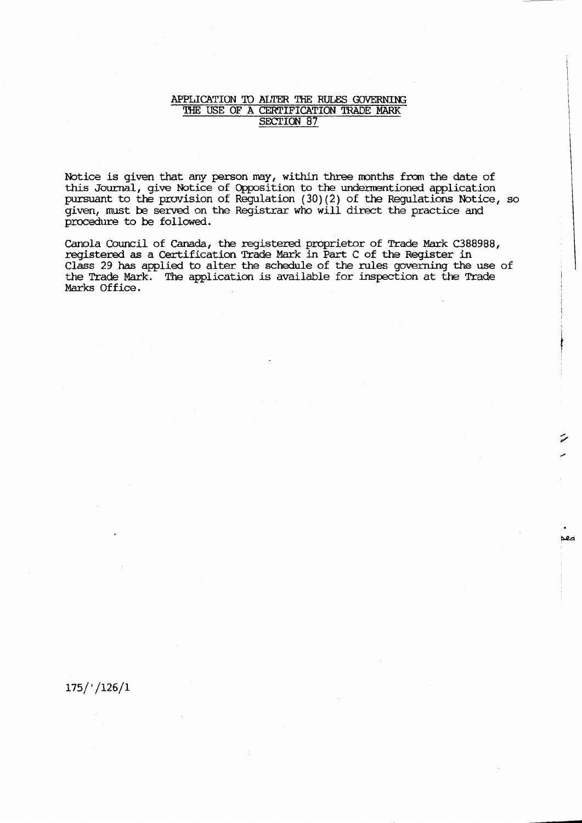#### APPLICATION TO ALTER THE RULES GOVERNING THE USE OF A CERTIFICATION TRADE MARK SECTION 87

Notice is given that any person may, within three months from the date of this Journal, give Notice of Opposition to the undermentioned application pursuant to the provision of Regulation (30) (2) of the Regulations Notice, so given, must be served. on the Registrar who will direct the practice and procedure to be followed.

Canola Council of Canada, the registered proprietor of Trade Mark C388988, registered as a Certification Trade Mark in Part C of the Register in Class 29 has applied to alter the schedule of the rules governing the use of the Trade Mark. The application is available for inspection at the Trade Marks Office.

# 175/'/126/1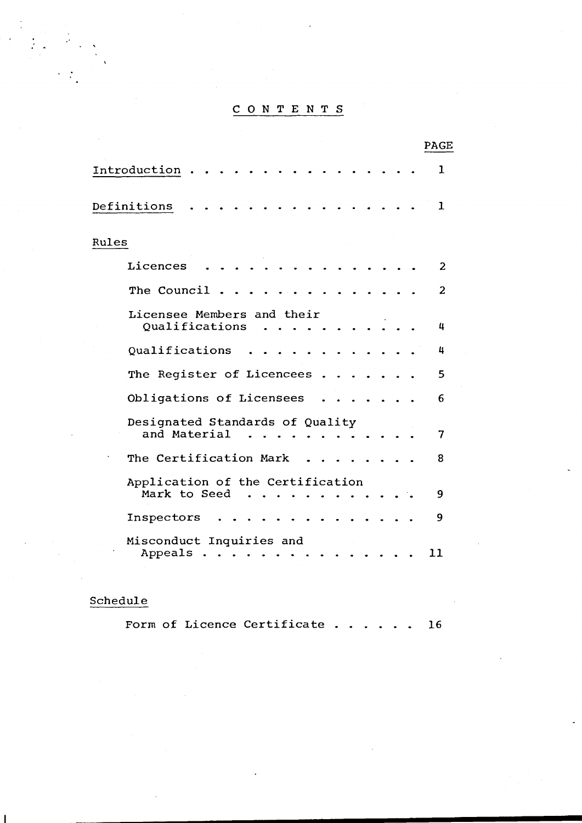# CON TEN T S

| PAGE                                             |              |
|--------------------------------------------------|--------------|
| Introduction                                     | 1            |
| Definitions                                      | $\mathbf{1}$ |
| Rules                                            |              |
| Licences                                         | 2            |
| The Council                                      | 2            |
| Licensee Members and their<br>Qualifications     | 4            |
| Qualifications                                   | 4            |
| The Register of Licencees                        | 5            |
| Obligations of Licensees                         | 6            |
| Designated Standards of Quality<br>and Material  | 7            |
| The Certification Mark                           | 8            |
| Application of the Certification<br>Mark to Seed | 9            |
| Inspectors                                       | 9            |
| Misconduct Inquiries and<br>Appeals<br>11        |              |

# Schedule

Form of Licence Certificate . . . . . . 16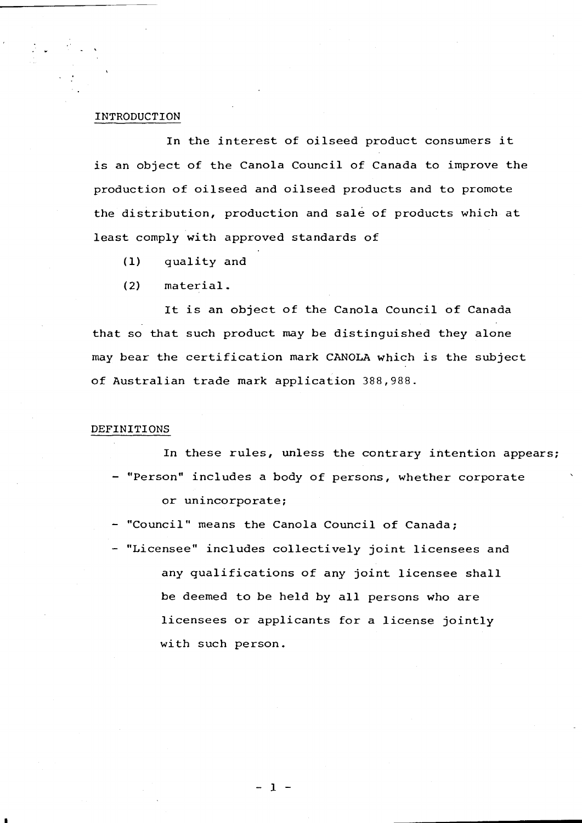# INTRODUCTION

In the interest of oilseed product consumers it is an object of the Canola Council of Canada to improve the production of oilseed and oilseed products and to promote the distribution, production and sale of products which at least comply with approved standards of

(1) quality and

(2) material.

It is an object of the Canola Council of Canada that so that such product may be distinguished they alone may bear the certification mark CANOLA which is the subject of Australian trade mark application 388,988.

### DEFINITIONS

I

In these rules, unless the contrary intention appears; - "Person" includes a body of persons, whether corporate or unincorporate;

- "Council" means the Canola Council of Canada;

- "Licensee" includes collectively joint licensees and any qualifications of any joint licensee shall be deemed to be held by all persons who are licensees or applicants for <sup>a</sup> license jointly with such person.

- 1 -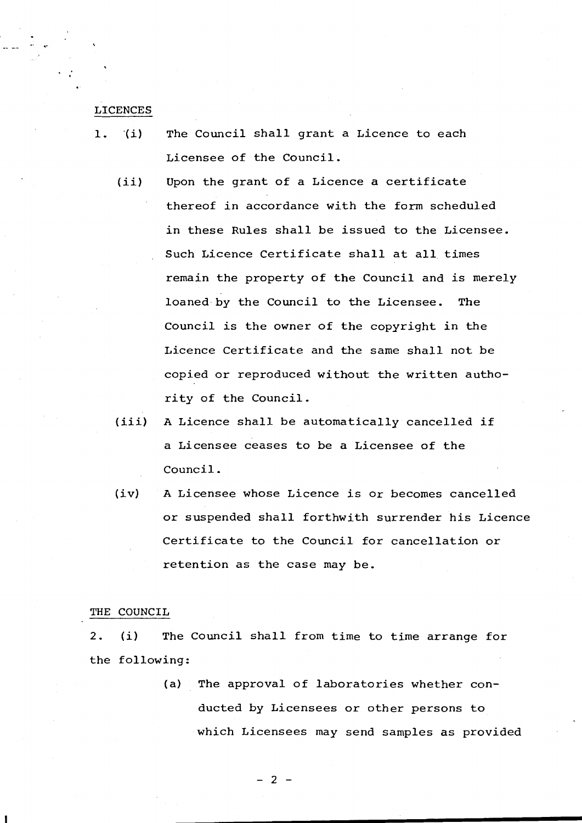#### LICENCES

- 1. *o(i)* The Council shall grant <sup>a</sup> Licence to each Licensee of the Council.
	- $(iii)$ Upon the grant of <sup>a</sup> Licence <sup>a</sup> certificate thereof in accordance with the form scheduled in these Rules shall be issued to the Licensee. Such Licence Certificate shall at all times remain the property of the Council and is merely loaned by the Council to the Licensee. The Council is the owner of the copyright in the Licence Certificate and the same shall not be copied or reproduced without the written authority of the Council.
	- (iii) <sup>A</sup> Licence shall be automatically cancelled if a Licensee ceases to be a Licensee of the Council.
	- $(iv)$ <sup>A</sup> Licensee whose Licence is or becomes cancelled or suspended shall forthwith surrender his Licence Certificate to the Council for cancellation or retention as the case may be.

# THE COUNCIL

2. (i) The Council shall from time to time arrange for the following:

> (a) The approval of laboratories whether conducted by Licensees or other persons to which Licensees may send samples as provided

> > - 2 -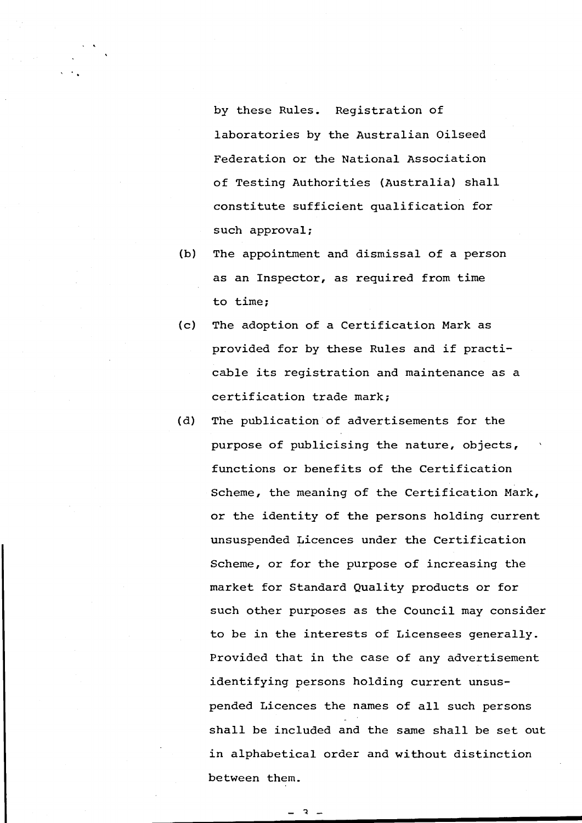by these Rules. Registration of laboratories by the Australian Oilseed Federation or the National Association of Testing Authorities (Australia) shall constitute sufficient qualification for such approval;

- (b) The appointment and dismissal of a person as an Inspector, as required from time to time;
- (c) The adoption of <sup>a</sup> Certification Mark as provided for by these Rules and if practicable its registration and maintenance as <sup>a</sup> certification trade mark;
- (d) The publication of advertisements for the purpose of publicising the nature, objects, functions or benefits of the Certification Scheme, the meaning of the Certification Mark, or the identity of the persons holding current unsuspended Licences under the Certification Scheme, or for the purpose of increasing the market for Standard Quality products or for such other purposes as the Council may consider to be in the interests of Licensees generally. Provided that in the case of any advertisement identifying persons holding current unsuspended Licences the names of all such persons shall be included and the same shall be set out in alphabetical order and without distinction between them.

 $\mathbf{z}$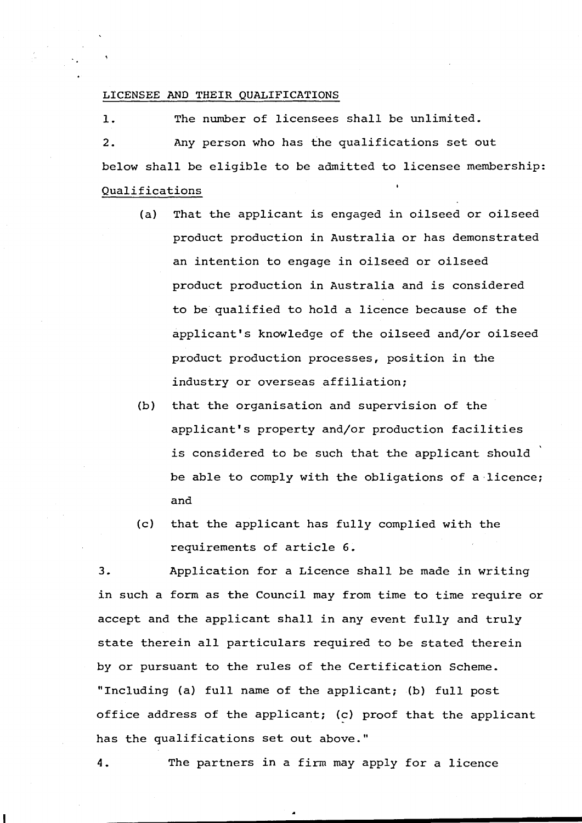# LICENSEE AND THEIR QUALIFICATIONS

1. The number of licensees shall be unlimited. 2. Any person who has the qualifications set out below shall be eligible to be admitted to licensee membership: Qualifications

- (a) That the applicant is engaged in oilseed or oilseed product production in Australia or has demonstrated an intention to engage in oilseed or oilseed product production in Australia and is considered to be qualified to hold a licence because of the applicant's knowledge of the oilseed and/or oilseed product production processes, position in the industry or overseas affiliation;
- (b) that the organisation and supervision of the applicant's property and/or production facilities is considered to be such that the applicant should be able to comply with the obligations of a licence; and
- (c) that the applicant has fully complied with the requirements of article 6.

3. Application for a Licence shall be made in writing in such a form as the Council may from time to time require or accept and the applicant shall in any event fully and truly state therein all particulars required to be stated therein by or pursuant to the rules of the Certification Scheme. "Including (a) full name of the applicant; (b) full post office address of the applicant; (c) proof that the applicant has the qualifications set out above."

4. The partners in a firm may apply for a licence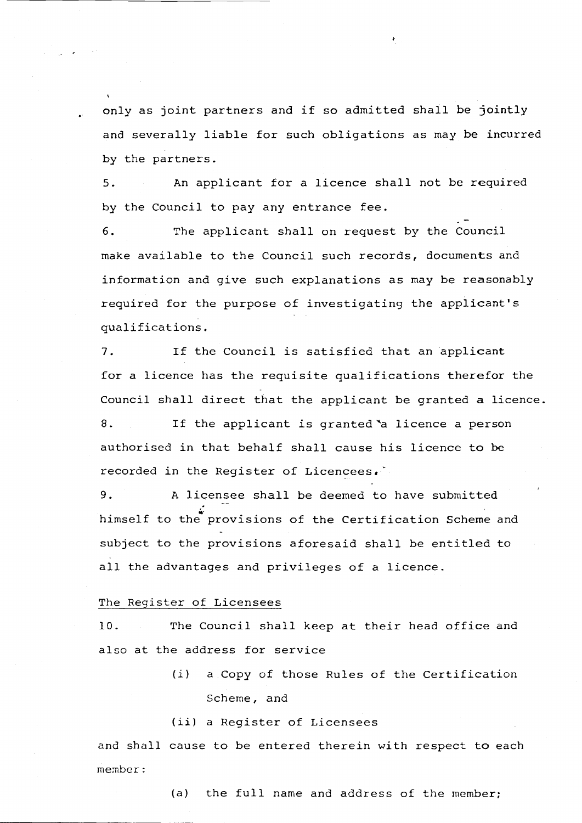only as joint partners and if so admitted shall be jointly and severally liable for such obligations as may be incurred by the partners.

5. An applicant for <sup>a</sup> licence shall not be required by the Council to pay any entrance fee.

6. The applicant shall on request by the Council make available to the Council such records, documents and information and give such explanations as may be reasonably required for the purpose of investigating the applicant's qualifications.

7. If the Council is satisfied that an applicant for <sup>a</sup> licence has the requisite qualifications therefor the Council shall direct that the applicant be granted <sup>a</sup> licence. 8. If the applicant is granted a licence a person authorised in that behalf shall cause his licence to be recorded in the Register of Licencees.

9. <sup>A</sup> licensee shall be deemed to have submitted himself to the provisions of the Certification Scheme and subject to the provisions aforesaid shall be entitled to all the advantages and privileges of <sup>a</sup> licence.

# The Register of Licensees

· '

10. The Council shall keep at their head office and also at the address for service

> *(i)* <sup>a</sup> Copy of those Rules of the Certification Scheme, and

(iil <sup>a</sup> Register of Licensees

and shall cause to be entered therein with respect to each member:

(a) the full name and address of the member;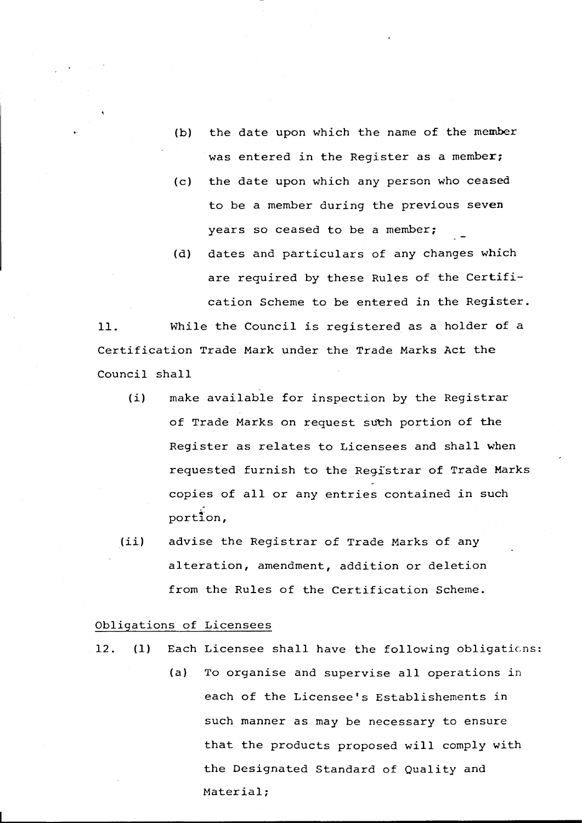- (b) the date upon which the name of the member was entered in the Register as a member;
- (c) the date upon which any person who ceased to be a member during the previous seven years so ceased to be a member;
- (d) dates and particulars of any changes which are required by these Rules of the Certification Scheme to be entered in the Register.

11. While the Council is registered as <sup>a</sup> holder of <sup>a</sup> Certification Trade Mark under the Trade Marks Act the Council shall

- (i) make available for inspection by the Registrar of Trade Marks on request such portion of the Register as relates to Licensees and shall when requested furnish to the Regfstrar of Trade Marks copies of all or any entries contained in such portion,
- (ii) advise the Registrar of Trade Marks of any alteration, amendment, addition or deletion from the Rules of the Certification Scheme.

# Obligations of Licensees

- 12. (1) Each Licensee shall have the following obligations:
	- (a) To organise and supervise all operations in each of the Licensee's Establishements in such manner as may be necessary to ensure that the products proposed will comply with the Designated Standard of Quality and Material;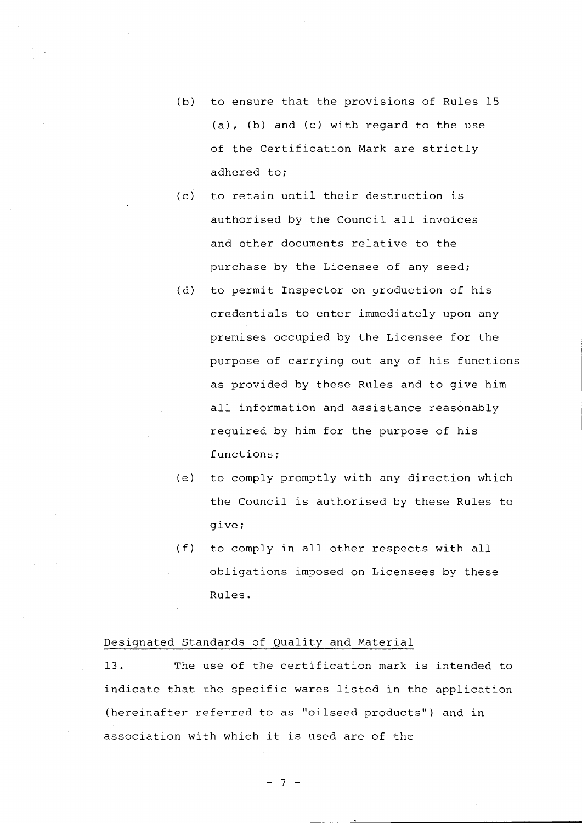- (b) to ensure that the provisions of Rules 15 (a), (b) and (c) with regard to the use of the Certification Mark are strictly adhered to;
- (c) to retain until their destruction is authorised by the Council all invoices and other documents relative to the purchase by the Licensee of any seed;
- (d) to permit Inspector on production of his credentials to enter immediately upon any premises occupied by the Licensee for the purpose of carrying out any of his functions as provided by these Rules and to give him all information and assistance reasonably required by him for the purpose of his functions;
- (e) to comply promptly with any direction which the Council is authorised by these Rules to give;
- (f) to comply ln all other respects with all obligations imposed on Licensees by these Rules.

# Designated Standards of Quality and Material

13. The use of the certification mark is intended to indicate that the specific wares listed in the application (hereinafter referred to as "oilseed products") and in association with which it is used are of the

- 7 -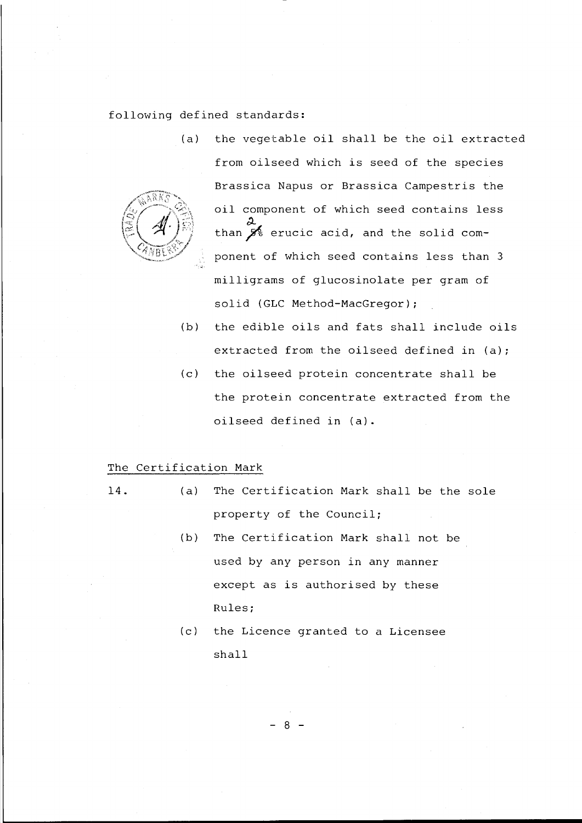following defined standards:

(a) the vegetable oil shall be the oil extracted from oilseed which is seed of the species Brassica Napus or Brassica Campestris the oil component of which seed contains less d... than  $\overline{\mathcal{J}}$  erucic acid, and the solid component of which seed contains less than 3 milligrams of glucosinolate per gram of solid (GLC Method-MacGregor);

- (b) the edible oils and fats shall include oils extracted from the oilseed defined in (a);
- (c) the oilseed protein concentrate shall be the protein concentrate extracted from the oilseed defined in (a).

# The Certification Mark

- **14.** (a) The Certification Mark shall be the sole property of the Council;
	- (b) The Certification Mark shall not be used by any person in any manner except as is authorised by these Rules;
	- (c) the Licence granted to a Licensee shall

- 8 -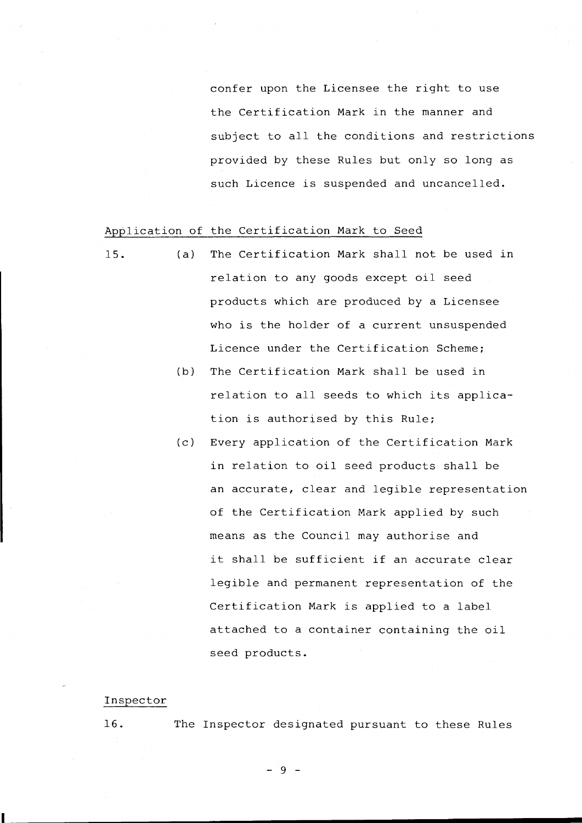confer upon the Licensee the right to use the Certification Mark in the manner and subject to all the conditions and restrictions provided by these Rules but only so long as such Licence is suspended and uncancelled.

# Application of the Certification Mark to Seed

- 15. (a) The Certification Mark shall not be used in relation to any goods except oil seed products which are produced by a Licensee who is the holder of <sup>a</sup> current unsuspended Licence under the Certification Scheme;
	- (b) The Certification Mark shall be used in relation to all seeds to which its application is authorised by this Rule;
	- (c) Every application of the Certification Mark in relation to oil seed products shall be an accurate, clear and legible representation of the Certification Mark applied by such means as the Council may authorise and it shall be sufficient if an accurate clear legible and permanent representation of the Certification Mark is applied to <sup>a</sup> label attached to <sup>a</sup> container containing the oil seed products.

#### Inspector

**I**

16. The Inspector designated pursuant to these Rules

- 9 -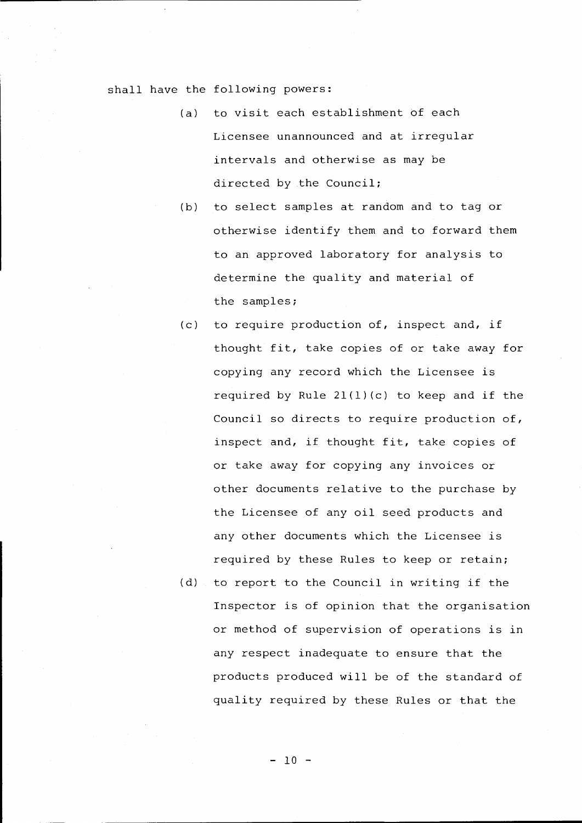# shall have the following powers:

- (a) to visit each establishment of each Licensee unannounced and at irregular intervals and otherwise as may be directed by the Council;
- (b) to select samples at random and to tag or otherwise identify them and to forward them to an approved laboratory for analysis to determine the quality and material of the samples;
- (c) to require production of, inspect and, if thought fit, take copies of or take away for copying any record which the Licensee is required by Rule  $21(1)(c)$  to keep and if the Council so directs to require production of, inspect and, if thought fit, take copies of or take away for copying any invoices or other documents relative to the purchase by the Licensee of any oil seed products and any other documents which the Licensee is required by these Rules to keep or retain;
- (d) to report to the Council in writing if the Inspector is of opinion that the organisation or method of supervision of operations is in any respect inadequate to ensure that the products produced will be of the standard of quality required by these Rules or that the

- 10 -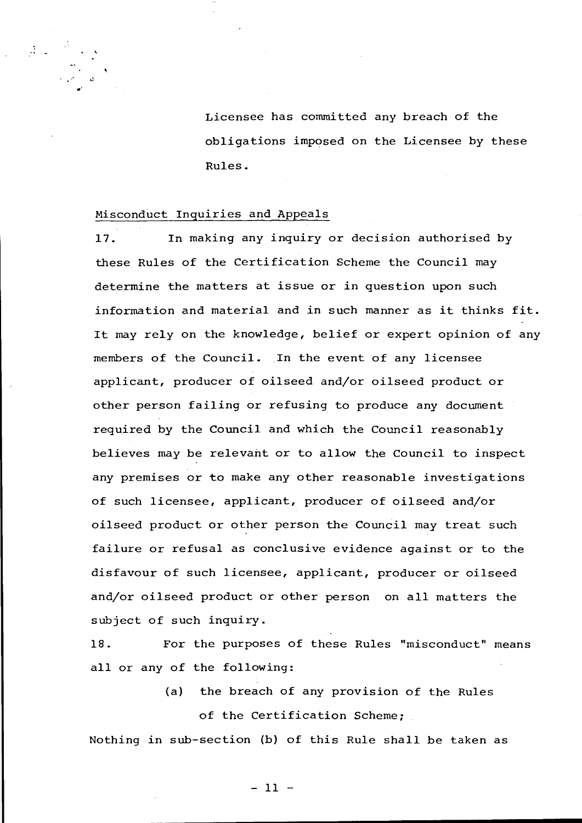Licensee has committed any breach of the obligations imposed on the Licensee by these Rules.

#### Misconduct Inquiries and Appeals

 $\frac{1}{\sqrt{2}}\left( \frac{1}{\sqrt{2}}\right)$  ,

..'

17. In making any inquiry or decision authorised by these Rules of the Certification Scheme the Council may determine the matters at issue or in question upon such information and material and in such manner as it thinks fit. It may rely on the knowledge, belief or expert opinion of any members of the Council. In the event of any licensee applicant, producer of oilseed and/or oilseed product or other person failing or refusing to produce any document required by the Council and which the Council reasonably believes may be relevant or to allow the Council to inspect any premises or to make any other reasonable investigations of such licensee, applicant, producer of oilseed and/or oilseed product or other person the Council may treat such failure or refusal as conclusive evidence against or to the disfavour of such licensee, applicant, producer or oilseed and/or oilseed product or other person on all matters the subject of such inquiry.

18. For the purposes of these Rules "misconduct" means all or any of the following:

> (a) the breach of any provision of the Rules of the Certification Scheme;

Nothing in sub-section (b) of this Rule shall be taken as

- 11 -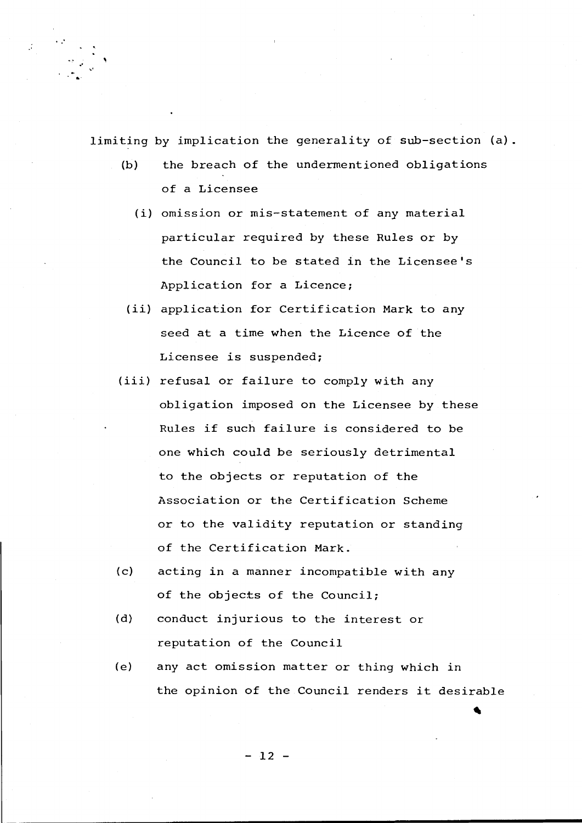limiting by implication the generality of sub-section (a).

.~

- (b) the breach of the undermentioned obligations of a Licensee
	- *(i)* omission or mis-statement of any material particular required by these Rules or by the Council to be stated in the Licensee's Application for a Licence;
- *(ii)* application for Certification Mark to any seed at <sup>a</sup> time when the Licence of the Licensee is suspended;
- *(iii)* refusal or failure to comply with any obligation imposed on the Licensee by these Rules if such failure is considered to be one which could be seriously detrimental to the objects or reputation of the Association or the Certification Scheme or to the validity reputation or standing of the Certification Mark.
- (c) acting in a manner incompatible with any of the objects of the Council;
- (d) conduct injurious to the interest or reputation of the Council
- (e) any act omission matter or thing which in the opinion of the Council renders it desirable

- 12 -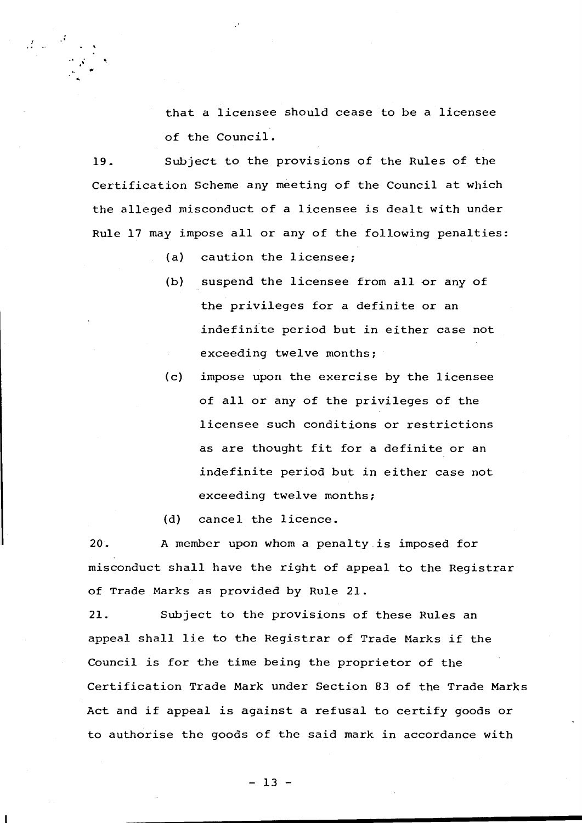that <sup>a</sup> licensee should cease to be <sup>a</sup> licensee of the Council.

19. Subject to the provisions of the Rules of the Certification Scheme any meeting of the Council at Which the alleged misconduct of <sup>a</sup> licensee *is* dealt with under Rule <sup>17</sup> may impose all or any of the following penalties:

(a) caution the licensee;

 $\cdot$   $\cdot$ 

 $\mathcal{L}(\omega)$ 

- (b) suspend the licensee from all or any of the privileges for a definite or an indefinite period but *in* either case not exceeding twelve months;
- (c) impose upon the exercise by the licensee of all or any of the privileges of the licensee such conditions or restrictions as are thought fit for <sup>a</sup> definite or an indefinite period but in either case not exceeding twelve months;

(d) cancel the licence.

20. A member upon whom a penalty.is imposed for misconduct shall have the right of appeal to the Registrar of Trade Marks as provided by Rule 21.

21. Subject to the provisions of these Rules an appeal shall lie to the Registrar of Trade Marks if the Council is for the time being the proprietor of the Certification Trade Mark under Section 83 of the Trade Marks Act and if appeal is against <sup>a</sup> refusal to certify goods or to authorise the goods of the said mark in accordance with

 $-13 -$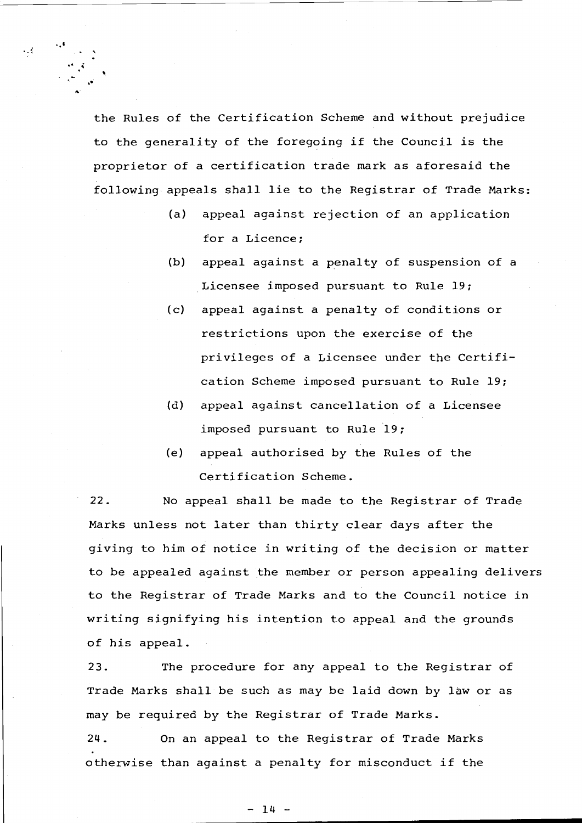the Rules of the Certification Scheme and without prejudice to the generality of the foregoing if the Council is the proprietor of <sup>a</sup> certification trade mark as aforesaid the following appeals shall lie to the Registrar of Trade Marks:

•• t

 $\mathcal{L}_{\mathcal{A}}$ 

. ,

." ....

**•• i** .

- (a) appeal against rejection of an application for a Licence;
- (b) appeal against a penalty of suspension of a Licensee imposed pursuant to Rule 19;
- (c) appeal against a penalty of conditions or restrictions upon the exercise of the privileges of <sup>a</sup> Licensee under the Certification Scheme imposed pursuant to Rule 19;
- (d) appeal against cancellation of a Licensee imposed pursuant to Rule 19;
- (e) appeal authorised by the Rules of the Certification Scheme.

22. No appeal shall be made to the Registrar of Trade Marks unless not later than thirty clear days after the giving to him of notice in writing of the decision or matter to be appealed against the member or person appealing delivers to the Registrar of Trade Marks and to the Council notice in writing signifying his intention to appeal and the grounds of his appeal.

23. The procedure for any appeal to the Registrar of Trade Marks shall be such as may be laid down by law or as may be required by the Registrar of Trade Marks.

24. On an appeal to the Registrar of Trade Marks otherwise than against <sup>a</sup> penalty for misconduct if the

 $- 14 -$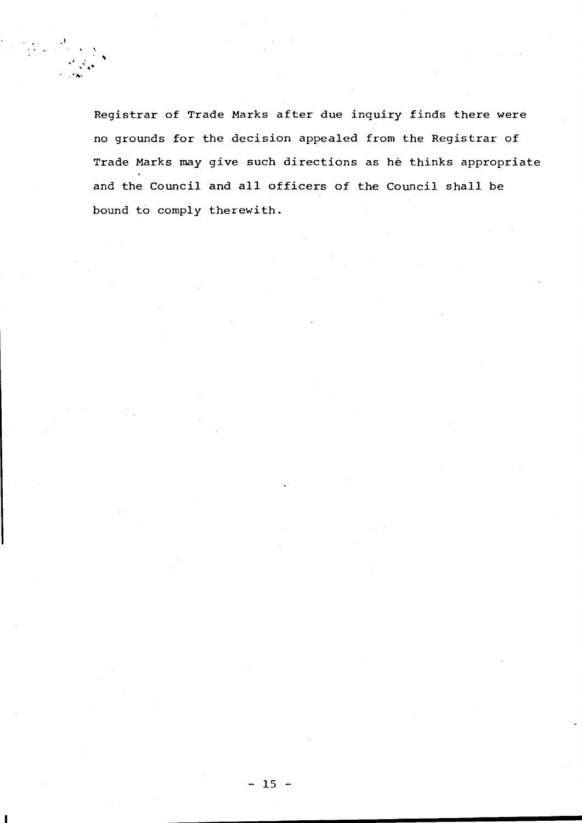$\frac{1}{2}$ .<br> $\frac{1}{2}$ .  $\cdot$  .  $\cdot$  .

> Registrar of Trade Marks after due inquiry finds there were no grounds for the decision appealed from the Registrar of Trade Marks may give such directions as he thinks appropriate and the Council and all officers of the Council shall be bound to comply therewith.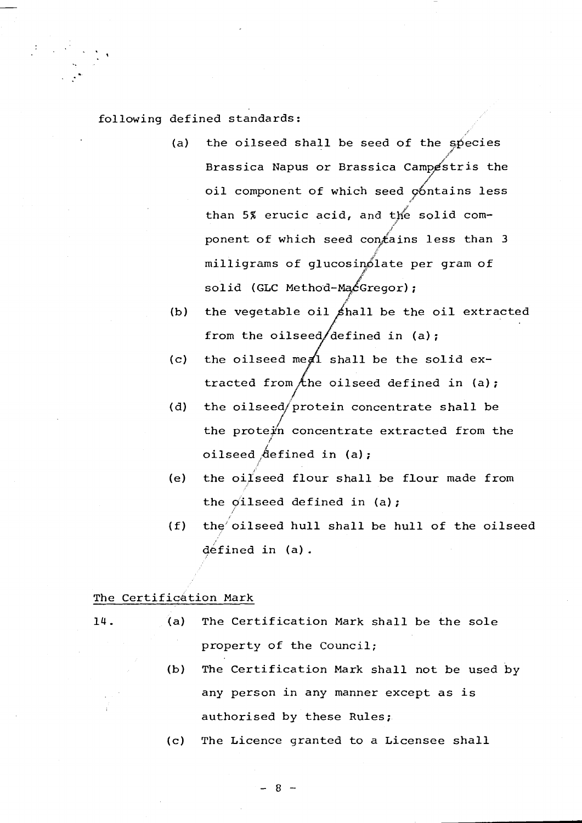# following defined standards:

- (a) the oilseed shall be seed of the species /1' Brassica Napus or Brassica Campestris the / oil component of which seed contains less .i/ than 5% erucic acid, and the solid comj ponent of which seed con $f$ ains less than 3 # milligrams of glucosin61ate per gram of j.Y solid (GLC Method-Ma $\&$ Gregor);
- (b) the vegetable oil  $\sin\beta$  be the oil extracted from the oilseed/defined in (a);
- the oilseed meal shall be the solid extracted from  $\not$ the oilseed defined in (a);  $(c)$
- (d) the oilseed/protein concentrate shall be / the prote $\not\!\!\!\!/$ n concentrate extracted from the /' oilseed  $\text{defined in (a)}$ ;
- (e) the oi $1$ seed flour shall be flour made from the  $o$ ilseed defined in (a);
- i (f) the oilseed hull shall be hull of the oilseed  $d$ éfined in  $(a)$ .

# The Certification Mark

- 
- 14. (a) The Certification Mark shall be the sole property of the Council;
	- (b) The Certification Mark shall not be used by any person in any manner except as is authorised by these Rules;
	- (c) The Licence granted to <sup>a</sup> Licensee shall

 $-8 -$ 

*.l*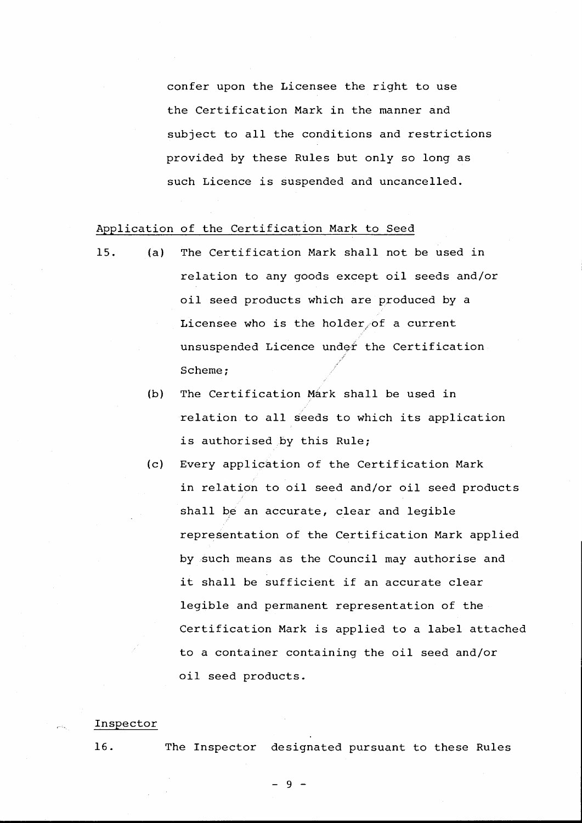confer upon the Licensee the right to use the Certification Mark in the manner and subject to all the conditions and restrictions provided by these Rules but only so long as such Licence is suspended and uncancelled.

# Application of the Certification Mark to Seed

- 15. (a) The Certification Mark shall not be used in relation to any goods except oil seeds and/or oil seed products which are produced by <sup>a</sup> Licensee who is the holder/of <sup>a</sup> current unsuspended Licence under the Certification Scheme;
	- (b) The Certification Mark shall be used in relation to all seeds to which its application is authorised by this Rule;
	- (c) Every application of the Certification Mark in relation to oil seed and/or oil seed products shall be an accurate, clear and legible representation of the Certification Mark applied by such means as the Council may authorise and it shall be sufficient if an accurate clear legible and permanent representation of the Certification Mark is applied to <sup>a</sup> label attached to <sup>a</sup> container containing the oil seed and/or oil seed products.

#### Inspector

16. The Inspector designated pursuant to these Rules

- 9 -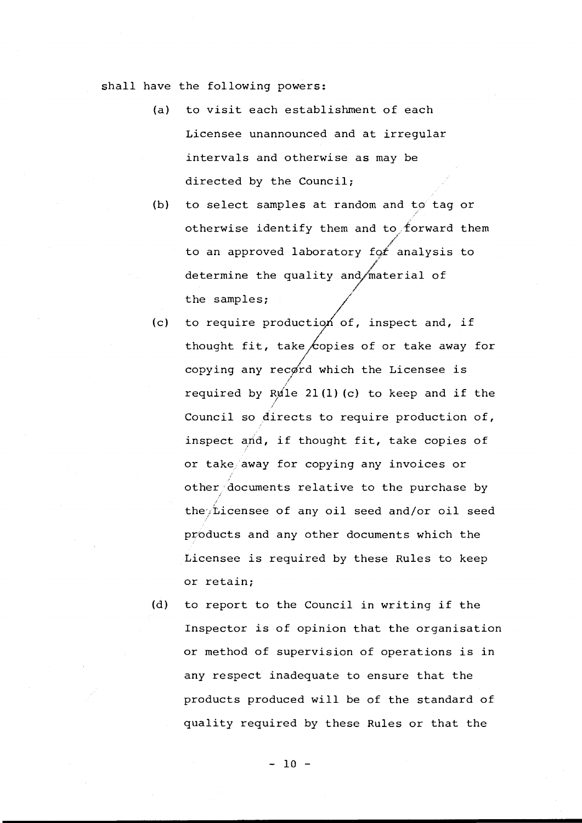shall have the following powers:

- (a) to visit each establishment of each Licensee unannounced and at irregular intervals and otherwise as may be directed by the Council;
- (b) to select samples at random and to tag or otherwise identify them and to forward them .<br>م to an approved laboratory fo $f$  analysis to / determine the quality and $\sqrt{$ material of the samples;
- (c) to require production of, inspect and, if thought fit, take copies of or take away for copying any record which the Licensee is I required by R $\cancel{\mathrm{u}}$ le 21(1)(c) to keep and if the ! Council so directs to require production of, inspect and, if thought fit, take copies of or take away for copying any invoices or other documents relative to the purchase by the $\not\sim$ Licensee of any oil seed and/or oil seed products and any other documents which the Licensee is required by these Rules to keep or retain;
- (d) to report to the Council in writing if the Inspector is of opinion that the organisation or method of supervision of operations is in any respect inadequate to ensure that the products produced will be of the standard of quality required by these Rules or that the

 $- 10 -$